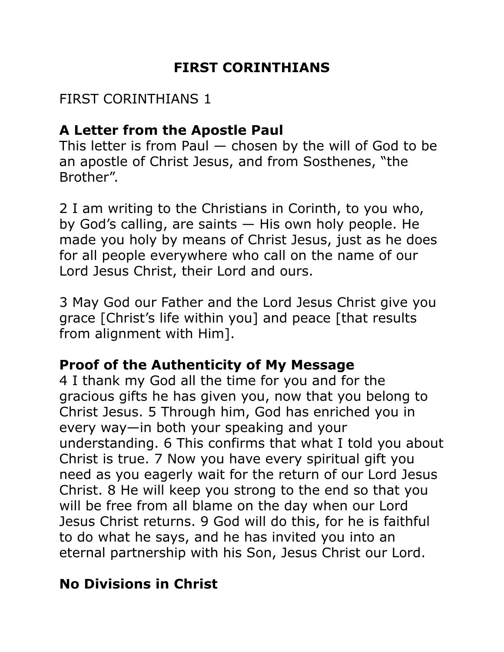## **FIRST CORINTHIANS**

## FIRST CORINTHIANS 1

## **A Letter from the Apostle Paul**

This letter is from Paul  $-$  chosen by the will of God to be an apostle of Christ Jesus, and from Sosthenes, "the Brother".

2 I am writing to the Christians in Corinth, to you who, by God's calling, are saints — His own holy people. He made you holy by means of Christ Jesus, just as he does for all people everywhere who call on the name of our Lord Jesus Christ, their Lord and ours.

3 May God our Father and the Lord Jesus Christ give you grace [Christ's life within you] and peace [that results from alignment with Him].

## **Proof of the Authenticity of My Message**

4 I thank my God all the time for you and for the gracious gifts he has given you, now that you belong to Christ Jesus. 5 Through him, God has enriched you in every way—in both your speaking and your understanding. 6 This confirms that what I told you about Christ is true. 7 Now you have every spiritual gift you need as you eagerly wait for the return of our Lord Jesus Christ. 8 He will keep you strong to the end so that you will be free from all blame on the day when our Lord Jesus Christ returns. 9 God will do this, for he is faithful to do what he says, and he has invited you into an eternal partnership with his Son, Jesus Christ our Lord.

# **No Divisions in Christ**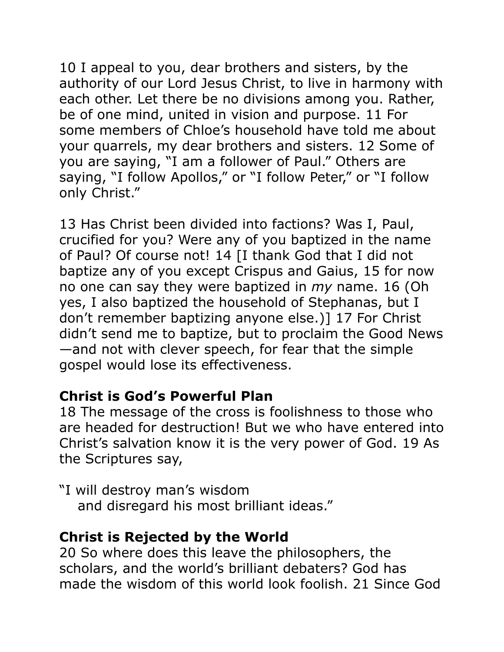10 I appeal to you, dear brothers and sisters, by the authority of our Lord Jesus Christ, to live in harmony with each other. Let there be no divisions among you. Rather, be of one mind, united in vision and purpose. 11 For some members of Chloe's household have told me about your quarrels, my dear brothers and sisters. 12 Some of you are saying, "I am a follower of Paul." Others are saying, "I follow Apollos," or "I follow Peter," or "I follow only Christ."

13 Has Christ been divided into factions? Was I, Paul, crucified for you? Were any of you baptized in the name of Paul? Of course not! 14 [I thank God that I did not baptize any of you except Crispus and Gaius, 15 for now no one can say they were baptized in *my* name. 16 (Oh yes, I also baptized the household of Stephanas, but I don't remember baptizing anyone else.)] 17 For Christ didn't send me to baptize, but to proclaim the Good News —and not with clever speech, for fear that the simple gospel would lose its effectiveness.

### **Christ is God's Powerful Plan**

18 The message of the cross is foolishness to those who are headed for destruction! But we who have entered into Christ's salvation know it is the very power of God. 19 As the Scriptures say,

"I will destroy man's wisdom and disregard his most brilliant ideas."

## **Christ is Rejected by the World**

20 So where does this leave the philosophers, the scholars, and the world's brilliant debaters? God has made the wisdom of this world look foolish. 21 Since God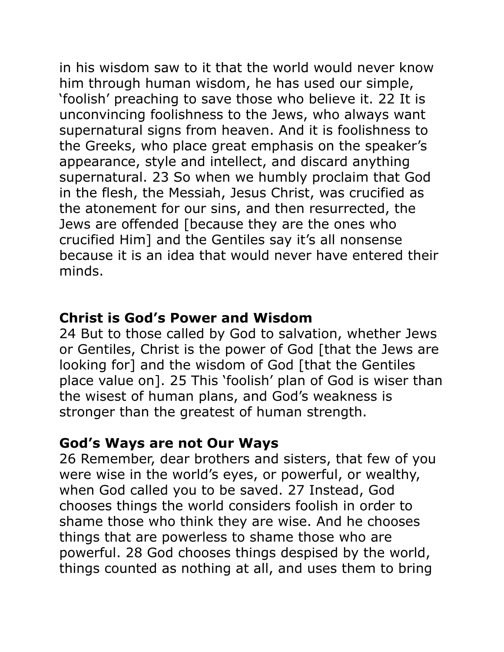in his wisdom saw to it that the world would never know him through human wisdom, he has used our simple, 'foolish' preaching to save those who believe it. 22 It is unconvincing foolishness to the Jews, who always want supernatural signs from heaven. And it is foolishness to the Greeks, who place great emphasis on the speaker's appearance, style and intellect, and discard anything supernatural. 23 So when we humbly proclaim that God in the flesh, the Messiah, Jesus Christ, was crucified as the atonement for our sins, and then resurrected, the Jews are offended [because they are the ones who crucified Him] and the Gentiles say it's all nonsense because it is an idea that would never have entered their minds.

#### **Christ is God's Power and Wisdom**

24 But to those called by God to salvation, whether Jews or Gentiles, Christ is the power of God [that the Jews are looking for] and the wisdom of God [that the Gentiles place value on]. 25 This 'foolish' plan of God is wiser than the wisest of human plans, and God's weakness is stronger than the greatest of human strength.

### **God's Ways are not Our Ways**

26 Remember, dear brothers and sisters, that few of you were wise in the world's eyes, or powerful, or wealthy, when God called you to be saved. 27 Instead, God chooses things the world considers foolish in order to shame those who think they are wise. And he chooses things that are powerless to shame those who are powerful. 28 God chooses things despised by the world, things counted as nothing at all, and uses them to bring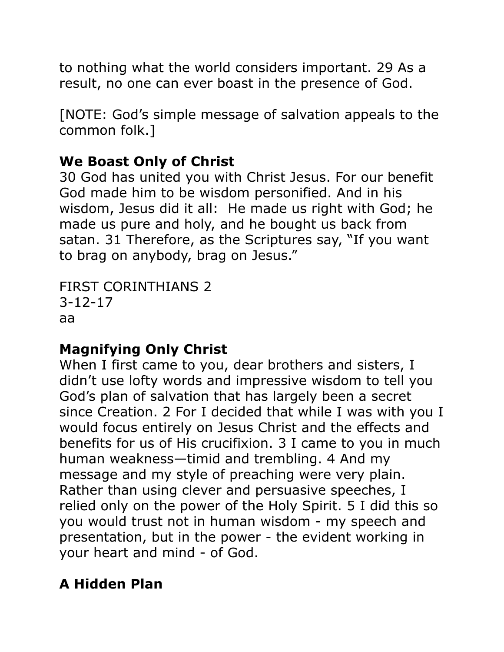to nothing what the world considers important. 29 As a result, no one can ever boast in the presence of God.

[NOTE: God's simple message of salvation appeals to the common folk.]

# **We Boast Only of Christ**

30 God has united you with Christ Jesus. For our benefit God made him to be wisdom personified. And in his wisdom, Jesus did it all: He made us right with God; he made us pure and holy, and he bought us back from satan. 31 Therefore, as the Scriptures say, "If you want to brag on anybody, brag on Jesus."

```
FIRST CORINTHIANS 2 
3-12-17 
aa
```
# **Magnifying Only Christ**

When I first came to you, dear brothers and sisters, I didn't use lofty words and impressive wisdom to tell you God's plan of salvation that has largely been a secret since Creation. 2 For I decided that while I was with you I would focus entirely on Jesus Christ and the effects and benefits for us of His crucifixion. 3 I came to you in much human weakness—timid and trembling. 4 And my message and my style of preaching were very plain. Rather than using clever and persuasive speeches, I relied only on the power of the Holy Spirit. 5 I did this so you would trust not in human wisdom - my speech and presentation, but in the power - the evident working in your heart and mind - of God.

# **A Hidden Plan**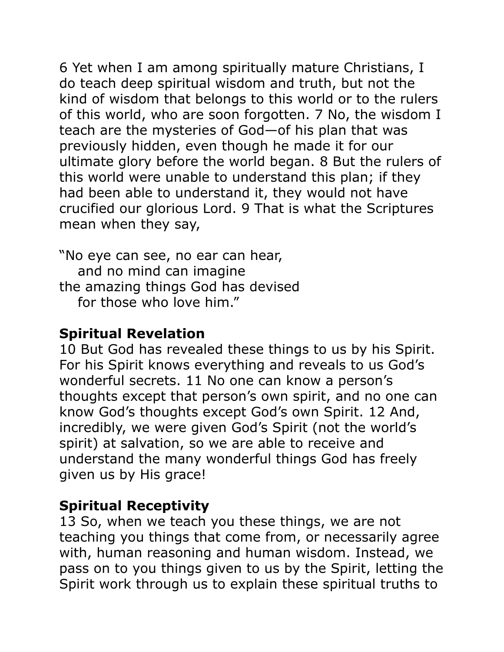6 Yet when I am among spiritually mature Christians, I do teach deep spiritual wisdom and truth, but not the kind of wisdom that belongs to this world or to the rulers of this world, who are soon forgotten. 7 No, the wisdom I teach are the mysteries of God—of his plan that was previously hidden, even though he made it for our ultimate glory before the world began. 8 But the rulers of this world were unable to understand this plan; if they had been able to understand it, they would not have crucified our glorious Lord. 9 That is what the Scriptures mean when they say,

"No eye can see, no ear can hear, and no mind can imagine the amazing things God has devised for those who love him."

#### **Spiritual Revelation**

10 But God has revealed these things to us by his Spirit. For his Spirit knows everything and reveals to us God's wonderful secrets. 11 No one can know a person's thoughts except that person's own spirit, and no one can know God's thoughts except God's own Spirit. 12 And, incredibly, we were given God's Spirit (not the world's spirit) at salvation, so we are able to receive and understand the many wonderful things God has freely given us by His grace!

### **Spiritual Receptivity**

13 So, when we teach you these things, we are not teaching you things that come from, or necessarily agree with, human reasoning and human wisdom. Instead, we pass on to you things given to us by the Spirit, letting the Spirit work through us to explain these spiritual truths to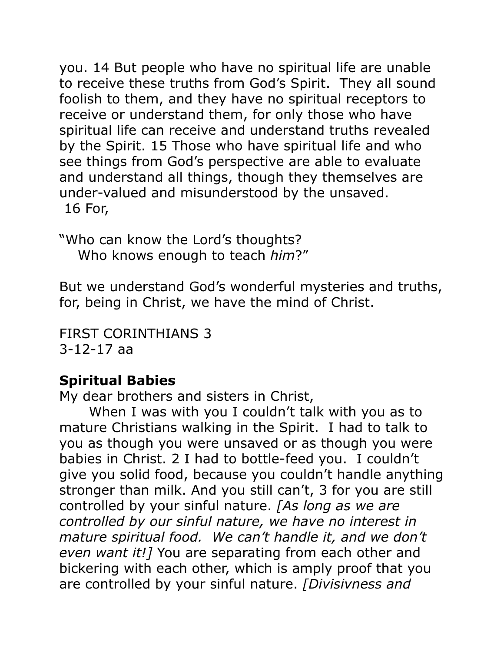you. 14 But people who have no spiritual life are unable to receive these truths from God's Spirit. They all sound foolish to them, and they have no spiritual receptors to receive or understand them, for only those who have spiritual life can receive and understand truths revealed by the Spirit. 15 Those who have spiritual life and who see things from God's perspective are able to evaluate and understand all things, though they themselves are under-valued and misunderstood by the unsaved. 16 For,

"Who can know the Lord's thoughts? Who knows enough to teach *him*?"

But we understand God's wonderful mysteries and truths, for, being in Christ, we have the mind of Christ.

FIRST CORINTHIANS 3 3-12-17 aa

### **Spiritual Babies**

My dear brothers and sisters in Christ,

 When I was with you I couldn't talk with you as to mature Christians walking in the Spirit. I had to talk to you as though you were unsaved or as though you were babies in Christ. 2 I had to bottle-feed you. I couldn't give you solid food, because you couldn't handle anything stronger than milk. And you still can't, 3 for you are still controlled by your sinful nature. *[As long as we are controlled by our sinful nature, we have no interest in mature spiritual food. We can't handle it, and we don't even want it!]* You are separating from each other and bickering with each other, which is amply proof that you are controlled by your sinful nature. *[Divisivness and*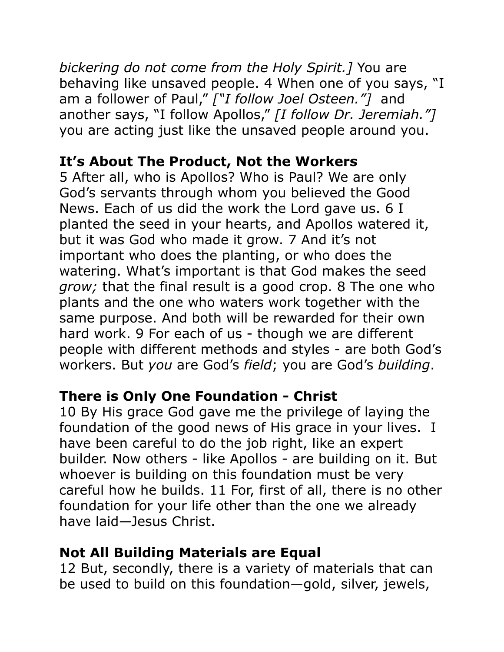*bickering do not come from the Holy Spirit.]* You are behaving like unsaved people. 4 When one of you says, "I am a follower of Paul," *["I follow Joel Osteen."]* and another says, "I follow Apollos," *[I follow Dr. Jeremiah."]*  you are acting just like the unsaved people around you.

## **It's About The Product, Not the Workers**

5 After all, who is Apollos? Who is Paul? We are only God's servants through whom you believed the Good News. Each of us did the work the Lord gave us. 6 I planted the seed in your hearts, and Apollos watered it, but it was God who made it grow. 7 And it's not important who does the planting, or who does the watering. What's important is that God makes the seed *grow;* that the final result is a good crop. 8 The one who plants and the one who waters work together with the same purpose. And both will be rewarded for their own hard work. 9 For each of us - though we are different people with different methods and styles - are both God's workers. But *you* are God's *field*; you are God's *building*.

# **There is Only One Foundation - Christ**

10 By His grace God gave me the privilege of laying the foundation of the good news of His grace in your lives. I have been careful to do the job right, like an expert builder. Now others - like Apollos - are building on it. But whoever is building on this foundation must be very careful how he builds. 11 For, first of all, there is no other foundation for your life other than the one we already have laid—Jesus Christ.

## **Not All Building Materials are Equal**

12 But, secondly, there is a variety of materials that can be used to build on this foundation—gold, silver, jewels,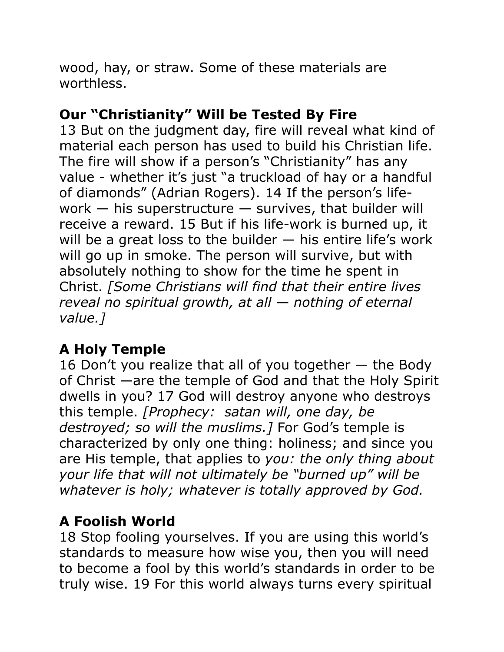wood, hay, or straw. Some of these materials are worthless.

## **Our "Christianity" Will be Tested By Fire**

13 But on the judgment day, fire will reveal what kind of material each person has used to build his Christian life. The fire will show if a person's "Christianity" has any value - whether it's just "a truckload of hay or a handful of diamonds" (Adrian Rogers). 14 If the person's lifework  $-$  his superstructure  $-$  survives, that builder will receive a reward. 15 But if his life-work is burned up, it will be a great loss to the builder  $-$  his entire life's work will go up in smoke. The person will survive, but with absolutely nothing to show for the time he spent in Christ. *[Some Christians will find that their entire lives reveal no spiritual growth, at all — nothing of eternal value.]*

# **A Holy Temple**

16 Don't you realize that all of you together — the Body of Christ —are the temple of God and that the Holy Spirit dwells in you? 17 God will destroy anyone who destroys this temple. *[Prophecy: satan will, one day, be destroyed; so will the muslims.]* For God's temple is characterized by only one thing: holiness; and since you are His temple, that applies to *you: the only thing about your life that will not ultimately be "burned up" will be whatever is holy; whatever is totally approved by God.*

### **A Foolish World**

18 Stop fooling yourselves. If you are using this world's standards to measure how wise you, then you will need to become a fool by this world's standards in order to be truly wise. 19 For this world always turns every spiritual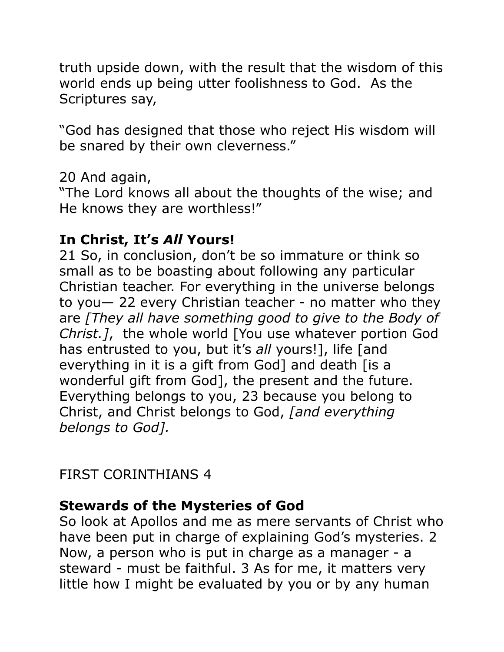truth upside down, with the result that the wisdom of this world ends up being utter foolishness to God. As the Scriptures say,

"God has designed that those who reject His wisdom will be snared by their own cleverness."

20 And again,

"The Lord knows all about the thoughts of the wise; and He knows they are worthless!"

# **In Christ, It's** *All* **Yours!**

21 So, in conclusion, don't be so immature or think so small as to be boasting about following any particular Christian teacher. For everything in the universe belongs to you— 22 every Christian teacher - no matter who they are *[They all have something good to give to the Body of Christ.]*, the whole world [You use whatever portion God has entrusted to you, but it's *all* yours!], life [and everything in it is a gift from God] and death [is a wonderful gift from God], the present and the future. Everything belongs to you, 23 because you belong to Christ, and Christ belongs to God, *[and everything belongs to God].*

FIRST CORINTHIANS 4

### **Stewards of the Mysteries of God**

So look at Apollos and me as mere servants of Christ who have been put in charge of explaining God's mysteries. 2 Now, a person who is put in charge as a manager - a steward - must be faithful. 3 As for me, it matters very little how I might be evaluated by you or by any human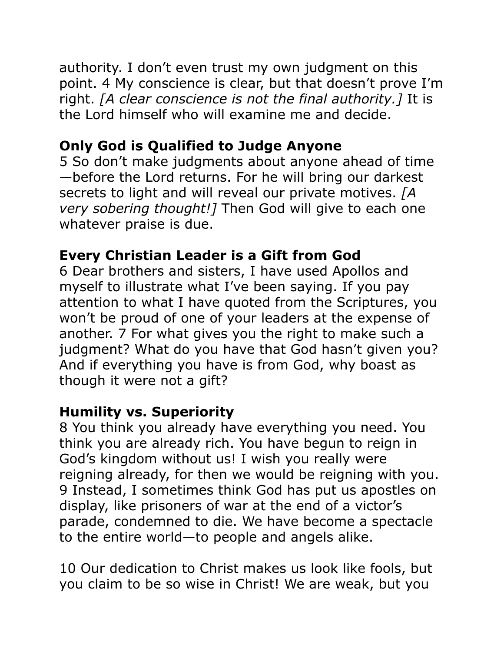authority. I don't even trust my own judgment on this point. 4 My conscience is clear, but that doesn't prove I'm right. *[A clear conscience is not the final authority.]* It is the Lord himself who will examine me and decide.

# **Only God is Qualified to Judge Anyone**

5 So don't make judgments about anyone ahead of time —before the Lord returns. For he will bring our darkest secrets to light and will reveal our private motives. *[A very sobering thought!]* Then God will give to each one whatever praise is due.

# **Every Christian Leader is a Gift from God**

6 Dear brothers and sisters, I have used Apollos and myself to illustrate what I've been saying. If you pay attention to what I have quoted from the Scriptures, you won't be proud of one of your leaders at the expense of another. 7 For what gives you the right to make such a judgment? What do you have that God hasn't given you? And if everything you have is from God, why boast as though it were not a gift?

# **Humility vs. Superiority**

8 You think you already have everything you need. You think you are already rich. You have begun to reign in God's kingdom without us! I wish you really were reigning already, for then we would be reigning with you. 9 Instead, I sometimes think God has put us apostles on display, like prisoners of war at the end of a victor's parade, condemned to die. We have become a spectacle to the entire world—to people and angels alike.

10 Our dedication to Christ makes us look like fools, but you claim to be so wise in Christ! We are weak, but you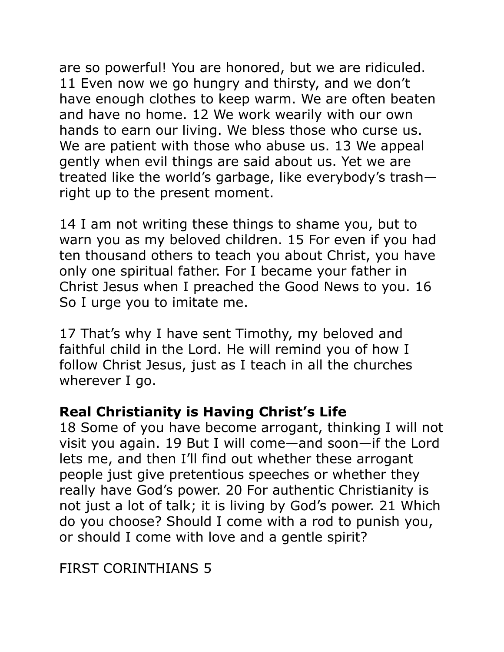are so powerful! You are honored, but we are ridiculed. 11 Even now we go hungry and thirsty, and we don't have enough clothes to keep warm. We are often beaten and have no home. 12 We work wearily with our own hands to earn our living. We bless those who curse us. We are patient with those who abuse us. 13 We appeal gently when evil things are said about us. Yet we are treated like the world's garbage, like everybody's trash right up to the present moment.

14 I am not writing these things to shame you, but to warn you as my beloved children. 15 For even if you had ten thousand others to teach you about Christ, you have only one spiritual father. For I became your father in Christ Jesus when I preached the Good News to you. 16 So I urge you to imitate me.

17 That's why I have sent Timothy, my beloved and faithful child in the Lord. He will remind you of how I follow Christ Jesus, just as I teach in all the churches wherever I go.

### **Real Christianity is Having Christ's Life**

18 Some of you have become arrogant, thinking I will not visit you again. 19 But I will come—and soon—if the Lord lets me, and then I'll find out whether these arrogant people just give pretentious speeches or whether they really have God's power. 20 For authentic Christianity is not just a lot of talk; it is living by God's power. 21 Which do you choose? Should I come with a rod to punish you, or should I come with love and a gentle spirit?

FIRST CORINTHIANS 5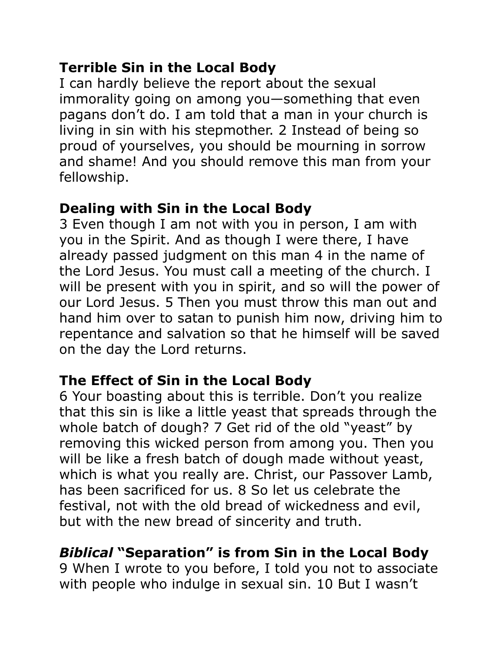## **Terrible Sin in the Local Body**

I can hardly believe the report about the sexual immorality going on among you—something that even pagans don't do. I am told that a man in your church is living in sin with his stepmother. 2 Instead of being so proud of yourselves, you should be mourning in sorrow and shame! And you should remove this man from your fellowship.

## **Dealing with Sin in the Local Body**

3 Even though I am not with you in person, I am with you in the Spirit. And as though I were there, I have already passed judgment on this man 4 in the name of the Lord Jesus. You must call a meeting of the church. I will be present with you in spirit, and so will the power of our Lord Jesus. 5 Then you must throw this man out and hand him over to satan to punish him now, driving him to repentance and salvation so that he himself will be saved on the day the Lord returns.

# **The Effect of Sin in the Local Body**

6 Your boasting about this is terrible. Don't you realize that this sin is like a little yeast that spreads through the whole batch of dough? 7 Get rid of the old "yeast" by removing this wicked person from among you. Then you will be like a fresh batch of dough made without yeast, which is what you really are. Christ, our Passover Lamb, has been sacrificed for us. 8 So let us celebrate the festival, not with the old bread of wickedness and evil, but with the new bread of sincerity and truth.

# *Biblical* **"Separation" is from Sin in the Local Body**

9 When I wrote to you before, I told you not to associate with people who indulge in sexual sin. 10 But I wasn't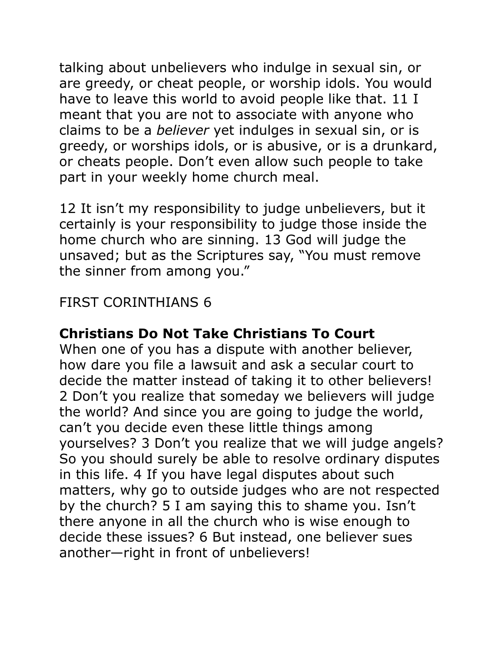talking about unbelievers who indulge in sexual sin, or are greedy, or cheat people, or worship idols. You would have to leave this world to avoid people like that. 11 I meant that you are not to associate with anyone who claims to be a *believer* yet indulges in sexual sin, or is greedy, or worships idols, or is abusive, or is a drunkard, or cheats people. Don't even allow such people to take part in your weekly home church meal.

12 It isn't my responsibility to judge unbelievers, but it certainly is your responsibility to judge those inside the home church who are sinning. 13 God will judge the unsaved; but as the Scriptures say, "You must remove the sinner from among you."

## FIRST CORINTHIANS 6

### **Christians Do Not Take Christians To Court**

When one of you has a dispute with another believer, how dare you file a lawsuit and ask a secular court to decide the matter instead of taking it to other believers! 2 Don't you realize that someday we believers will judge the world? And since you are going to judge the world, can't you decide even these little things among yourselves? 3 Don't you realize that we will judge angels? So you should surely be able to resolve ordinary disputes in this life. 4 If you have legal disputes about such matters, why go to outside judges who are not respected by the church? 5 I am saying this to shame you. Isn't there anyone in all the church who is wise enough to decide these issues? 6 But instead, one believer sues another—right in front of unbelievers!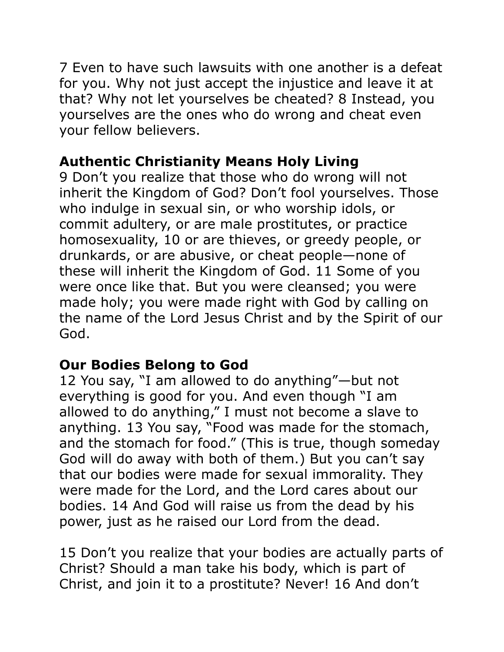7 Even to have such lawsuits with one another is a defeat for you. Why not just accept the injustice and leave it at that? Why not let yourselves be cheated? 8 Instead, you yourselves are the ones who do wrong and cheat even your fellow believers.

# **Authentic Christianity Means Holy Living**

9 Don't you realize that those who do wrong will not inherit the Kingdom of God? Don't fool yourselves. Those who indulge in sexual sin, or who worship idols, or commit adultery, or are male prostitutes, or practice homosexuality, 10 or are thieves, or greedy people, or drunkards, or are abusive, or cheat people—none of these will inherit the Kingdom of God. 11 Some of you were once like that. But you were cleansed; you were made holy; you were made right with God by calling on the name of the Lord Jesus Christ and by the Spirit of our God.

# **Our Bodies Belong to God**

12 You say, "I am allowed to do anything"—but not everything is good for you. And even though "I am allowed to do anything," I must not become a slave to anything. 13 You say, "Food was made for the stomach, and the stomach for food." (This is true, though someday God will do away with both of them.) But you can't say that our bodies were made for sexual immorality. They were made for the Lord, and the Lord cares about our bodies. 14 And God will raise us from the dead by his power, just as he raised our Lord from the dead.

15 Don't you realize that your bodies are actually parts of Christ? Should a man take his body, which is part of Christ, and join it to a prostitute? Never! 16 And don't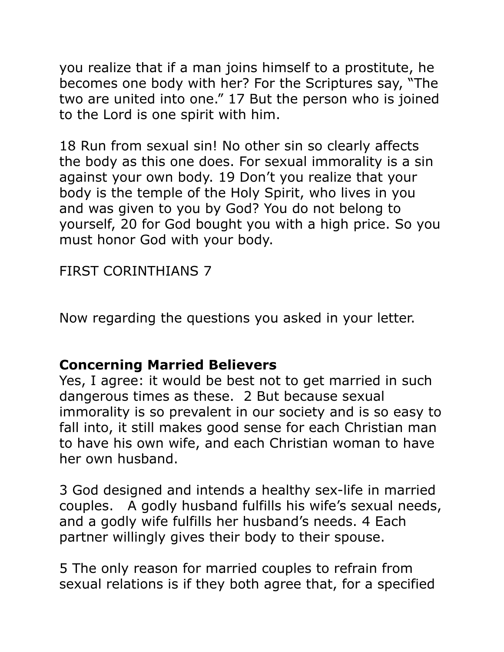you realize that if a man joins himself to a prostitute, he becomes one body with her? For the Scriptures say, "The two are united into one." 17 But the person who is joined to the Lord is one spirit with him.

18 Run from sexual sin! No other sin so clearly affects the body as this one does. For sexual immorality is a sin against your own body. 19 Don't you realize that your body is the temple of the Holy Spirit, who lives in you and was given to you by God? You do not belong to yourself, 20 for God bought you with a high price. So you must honor God with your body.

FIRST CORINTHIANS 7

Now regarding the questions you asked in your letter.

#### **Concerning Married Believers**

Yes, I agree: it would be best not to get married in such dangerous times as these. 2 But because sexual immorality is so prevalent in our society and is so easy to fall into, it still makes good sense for each Christian man to have his own wife, and each Christian woman to have her own husband.

3 God designed and intends a healthy sex-life in married couples. A godly husband fulfills his wife's sexual needs, and a godly wife fulfills her husband's needs. 4 Each partner willingly gives their body to their spouse.

5 The only reason for married couples to refrain from sexual relations is if they both agree that, for a specified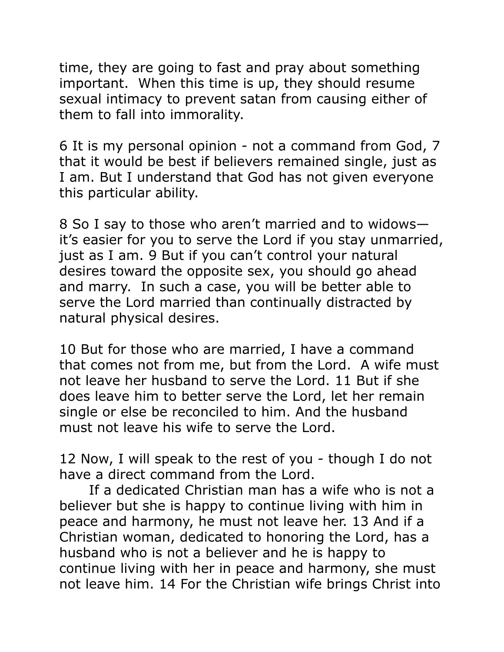time, they are going to fast and pray about something important. When this time is up, they should resume sexual intimacy to prevent satan from causing either of them to fall into immorality.

6 It is my personal opinion - not a command from God, 7 that it would be best if believers remained single, just as I am. But I understand that God has not given everyone this particular ability.

8 So I say to those who aren't married and to widows it's easier for you to serve the Lord if you stay unmarried, just as I am. 9 But if you can't control your natural desires toward the opposite sex, you should go ahead and marry. In such a case, you will be better able to serve the Lord married than continually distracted by natural physical desires.

10 But for those who are married, I have a command that comes not from me, but from the Lord. A wife must not leave her husband to serve the Lord. 11 But if she does leave him to better serve the Lord, let her remain single or else be reconciled to him. And the husband must not leave his wife to serve the Lord.

12 Now, I will speak to the rest of you - though I do not have a direct command from the Lord.

 If a dedicated Christian man has a wife who is not a believer but she is happy to continue living with him in peace and harmony, he must not leave her. 13 And if a Christian woman, dedicated to honoring the Lord, has a husband who is not a believer and he is happy to continue living with her in peace and harmony, she must not leave him. 14 For the Christian wife brings Christ into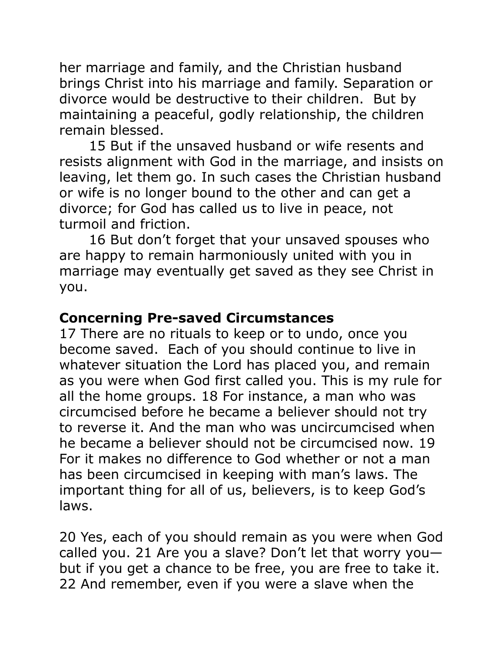her marriage and family, and the Christian husband brings Christ into his marriage and family. Separation or divorce would be destructive to their children. But by maintaining a peaceful, godly relationship, the children remain blessed.

 15 But if the unsaved husband or wife resents and resists alignment with God in the marriage, and insists on leaving, let them go. In such cases the Christian husband or wife is no longer bound to the other and can get a divorce; for God has called us to live in peace, not turmoil and friction.

 16 But don't forget that your unsaved spouses who are happy to remain harmoniously united with you in marriage may eventually get saved as they see Christ in you.

#### **Concerning Pre-saved Circumstances**

17 There are no rituals to keep or to undo, once you become saved. Each of you should continue to live in whatever situation the Lord has placed you, and remain as you were when God first called you. This is my rule for all the home groups. 18 For instance, a man who was circumcised before he became a believer should not try to reverse it. And the man who was uncircumcised when he became a believer should not be circumcised now. 19 For it makes no difference to God whether or not a man has been circumcised in keeping with man's laws. The important thing for all of us, believers, is to keep God's laws.

20 Yes, each of you should remain as you were when God called you. 21 Are you a slave? Don't let that worry you but if you get a chance to be free, you are free to take it. 22 And remember, even if you were a slave when the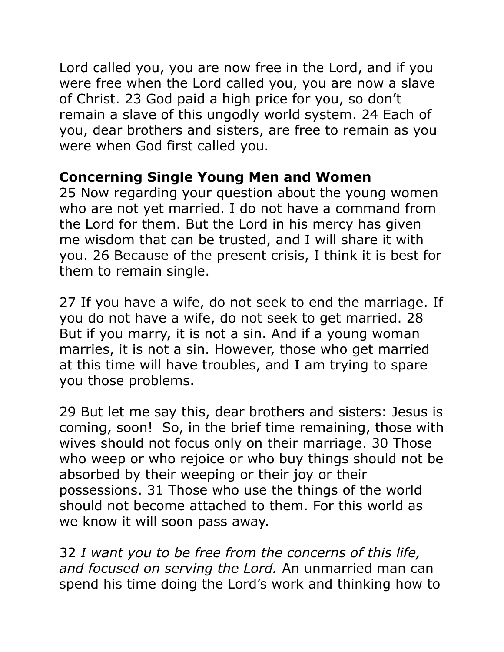Lord called you, you are now free in the Lord, and if you were free when the Lord called you, you are now a slave of Christ. 23 God paid a high price for you, so don't remain a slave of this ungodly world system. 24 Each of you, dear brothers and sisters, are free to remain as you were when God first called you.

#### **Concerning Single Young Men and Women**

25 Now regarding your question about the young women who are not yet married. I do not have a command from the Lord for them. But the Lord in his mercy has given me wisdom that can be trusted, and I will share it with you. 26 Because of the present crisis, I think it is best for them to remain single.

27 If you have a wife, do not seek to end the marriage. If you do not have a wife, do not seek to get married. 28 But if you marry, it is not a sin. And if a young woman marries, it is not a sin. However, those who get married at this time will have troubles, and I am trying to spare you those problems.

29 But let me say this, dear brothers and sisters: Jesus is coming, soon! So, in the brief time remaining, those with wives should not focus only on their marriage. 30 Those who weep or who rejoice or who buy things should not be absorbed by their weeping or their joy or their possessions. 31 Those who use the things of the world should not become attached to them. For this world as we know it will soon pass away.

32 *I want you to be free from the concerns of this life, and focused on serving the Lord.* An unmarried man can spend his time doing the Lord's work and thinking how to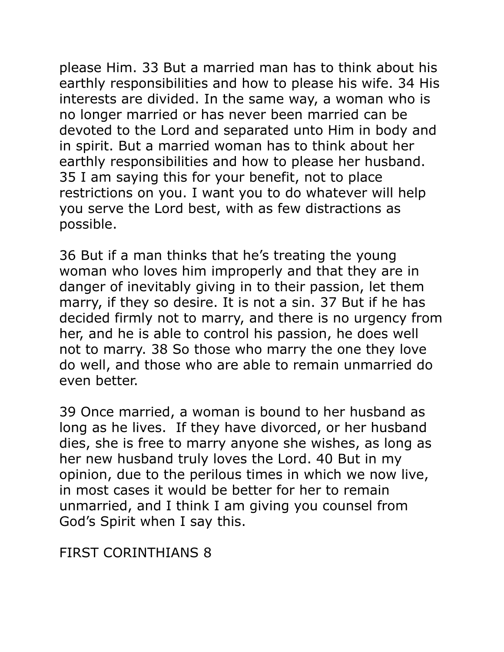please Him. 33 But a married man has to think about his earthly responsibilities and how to please his wife. 34 His interests are divided. In the same way, a woman who is no longer married or has never been married can be devoted to the Lord and separated unto Him in body and in spirit. But a married woman has to think about her earthly responsibilities and how to please her husband. 35 I am saying this for your benefit, not to place restrictions on you. I want you to do whatever will help you serve the Lord best, with as few distractions as possible.

36 But if a man thinks that he's treating the young woman who loves him improperly and that they are in danger of inevitably giving in to their passion, let them marry, if they so desire. It is not a sin. 37 But if he has decided firmly not to marry, and there is no urgency from her, and he is able to control his passion, he does well not to marry. 38 So those who marry the one they love do well, and those who are able to remain unmarried do even better.

39 Once married, a woman is bound to her husband as long as he lives. If they have divorced, or her husband dies, she is free to marry anyone she wishes, as long as her new husband truly loves the Lord. 40 But in my opinion, due to the perilous times in which we now live, in most cases it would be better for her to remain unmarried, and I think I am giving you counsel from God's Spirit when I say this.

FIRST CORINTHIANS 8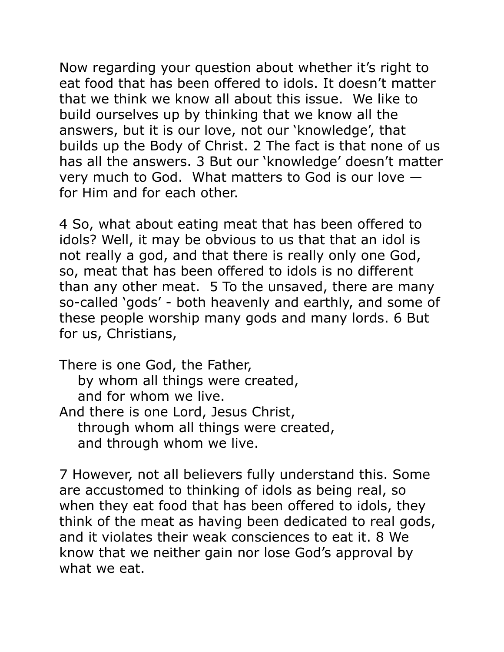Now regarding your question about whether it's right to eat food that has been offered to idols. It doesn't matter that we think we know all about this issue. We like to build ourselves up by thinking that we know all the answers, but it is our love, not our 'knowledge', that builds up the Body of Christ. 2 The fact is that none of us has all the answers. 3 But our 'knowledge' doesn't matter very much to God. What matters to God is our love for Him and for each other.

4 So, what about eating meat that has been offered to idols? Well, it may be obvious to us that that an idol is not really a god, and that there is really only one God, so, meat that has been offered to idols is no different than any other meat. 5 To the unsaved, there are many so-called 'gods' - both heavenly and earthly, and some of these people worship many gods and many lords. 6 But for us, Christians,

There is one God, the Father, by whom all things were created, and for whom we live. And there is one Lord, Jesus Christ, through whom all things were created, and through whom we live.

7 However, not all believers fully understand this. Some are accustomed to thinking of idols as being real, so when they eat food that has been offered to idols, they think of the meat as having been dedicated to real gods, and it violates their weak consciences to eat it. 8 We know that we neither gain nor lose God's approval by what we eat.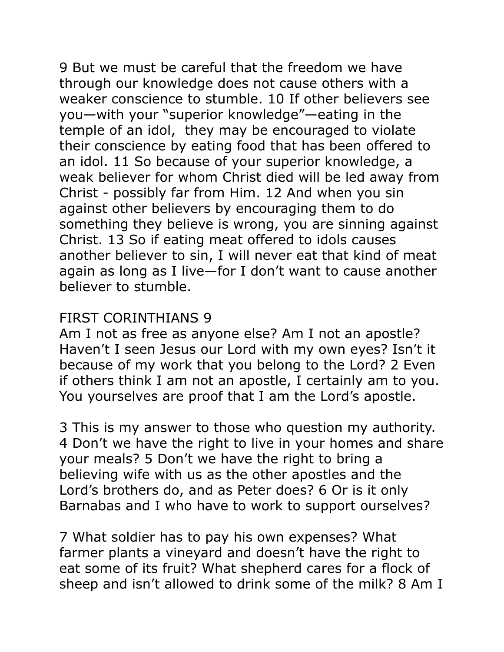9 But we must be careful that the freedom we have through our knowledge does not cause others with a weaker conscience to stumble. 10 If other believers see you—with your "superior knowledge"—eating in the temple of an idol, they may be encouraged to violate their conscience by eating food that has been offered to an idol. 11 So because of your superior knowledge, a weak believer for whom Christ died will be led away from Christ - possibly far from Him. 12 And when you sin against other believers by encouraging them to do something they believe is wrong, you are sinning against Christ. 13 So if eating meat offered to idols causes another believer to sin, I will never eat that kind of meat again as long as I live—for I don't want to cause another believer to stumble.

#### FIRST CORINTHIANS 9

Am I not as free as anyone else? Am I not an apostle? Haven't I seen Jesus our Lord with my own eyes? Isn't it because of my work that you belong to the Lord? 2 Even if others think I am not an apostle, I certainly am to you. You yourselves are proof that I am the Lord's apostle.

3 This is my answer to those who question my authority. 4 Don't we have the right to live in your homes and share your meals? 5 Don't we have the right to bring a believing wife with us as the other apostles and the Lord's brothers do, and as Peter does? 6 Or is it only Barnabas and I who have to work to support ourselves?

7 What soldier has to pay his own expenses? What farmer plants a vineyard and doesn't have the right to eat some of its fruit? What shepherd cares for a flock of sheep and isn't allowed to drink some of the milk? 8 Am I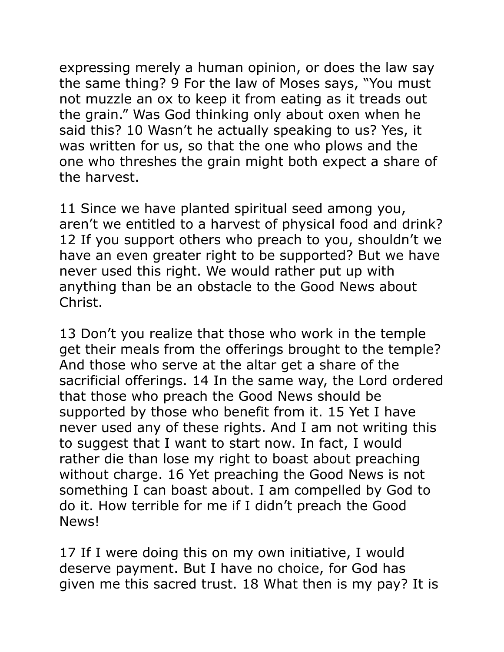expressing merely a human opinion, or does the law say the same thing? 9 For the law of Moses says, "You must not muzzle an ox to keep it from eating as it treads out the grain." Was God thinking only about oxen when he said this? 10 Wasn't he actually speaking to us? Yes, it was written for us, so that the one who plows and the one who threshes the grain might both expect a share of the harvest.

11 Since we have planted spiritual seed among you, aren't we entitled to a harvest of physical food and drink? 12 If you support others who preach to you, shouldn't we have an even greater right to be supported? But we have never used this right. We would rather put up with anything than be an obstacle to the Good News about Christ.

13 Don't you realize that those who work in the temple get their meals from the offerings brought to the temple? And those who serve at the altar get a share of the sacrificial offerings. 14 In the same way, the Lord ordered that those who preach the Good News should be supported by those who benefit from it. 15 Yet I have never used any of these rights. And I am not writing this to suggest that I want to start now. In fact, I would rather die than lose my right to boast about preaching without charge. 16 Yet preaching the Good News is not something I can boast about. I am compelled by God to do it. How terrible for me if I didn't preach the Good News!

17 If I were doing this on my own initiative, I would deserve payment. But I have no choice, for God has given me this sacred trust. 18 What then is my pay? It is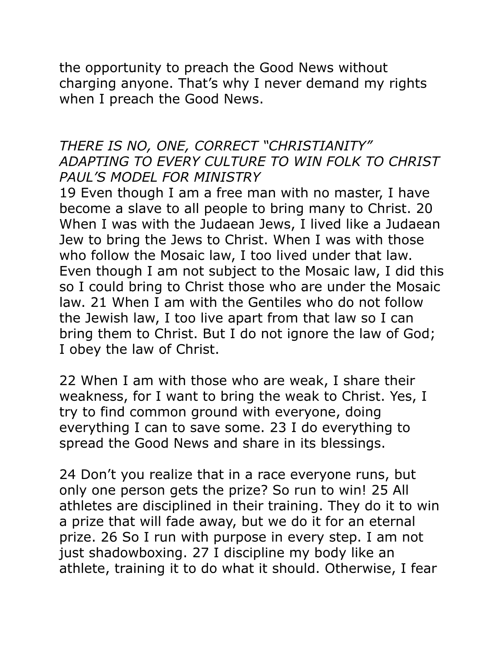the opportunity to preach the Good News without charging anyone. That's why I never demand my rights when I preach the Good News.

#### *THERE IS NO, ONE, CORRECT "CHRISTIANITY" ADAPTING TO EVERY CULTURE TO WIN FOLK TO CHRIST PAUL'S MODEL FOR MINISTRY*

19 Even though I am a free man with no master, I have become a slave to all people to bring many to Christ. 20 When I was with the Judaean Jews, I lived like a Judaean Jew to bring the Jews to Christ. When I was with those who follow the Mosaic law, I too lived under that law. Even though I am not subject to the Mosaic law, I did this so I could bring to Christ those who are under the Mosaic law. 21 When I am with the Gentiles who do not follow the Jewish law, I too live apart from that law so I can bring them to Christ. But I do not ignore the law of God; I obey the law of Christ.

22 When I am with those who are weak, I share their weakness, for I want to bring the weak to Christ. Yes, I try to find common ground with everyone, doing everything I can to save some. 23 I do everything to spread the Good News and share in its blessings.

24 Don't you realize that in a race everyone runs, but only one person gets the prize? So run to win! 25 All athletes are disciplined in their training. They do it to win a prize that will fade away, but we do it for an eternal prize. 26 So I run with purpose in every step. I am not just shadowboxing. 27 I discipline my body like an athlete, training it to do what it should. Otherwise, I fear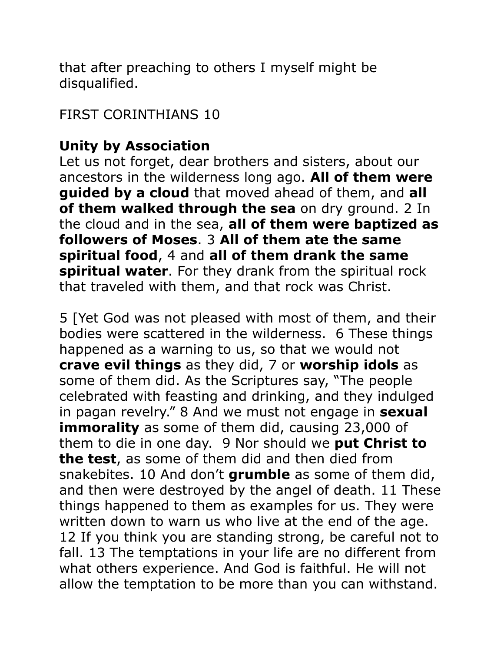that after preaching to others I myself might be disqualified.

FIRST CORINTHIANS 10

## **Unity by Association**

Let us not forget, dear brothers and sisters, about our ancestors in the wilderness long ago. **All of them were guided by a cloud** that moved ahead of them, and **all of them walked through the sea** on dry ground. 2 In the cloud and in the sea, **all of them were baptized as followers of Moses**. 3 **All of them ate the same spiritual food**, 4 and **all of them drank the same spiritual water**. For they drank from the spiritual rock that traveled with them, and that rock was Christ.

5 [Yet God was not pleased with most of them, and their bodies were scattered in the wilderness. 6 These things happened as a warning to us, so that we would not **crave evil things** as they did, 7 or **worship idols** as some of them did. As the Scriptures say, "The people celebrated with feasting and drinking, and they indulged in pagan revelry." 8 And we must not engage in **sexual immorality** as some of them did, causing 23,000 of them to die in one day. 9 Nor should we **put Christ to the test**, as some of them did and then died from snakebites. 10 And don't **grumble** as some of them did, and then were destroyed by the angel of death. 11 These things happened to them as examples for us. They were written down to warn us who live at the end of the age. 12 If you think you are standing strong, be careful not to fall. 13 The temptations in your life are no different from what others experience. And God is faithful. He will not allow the temptation to be more than you can withstand.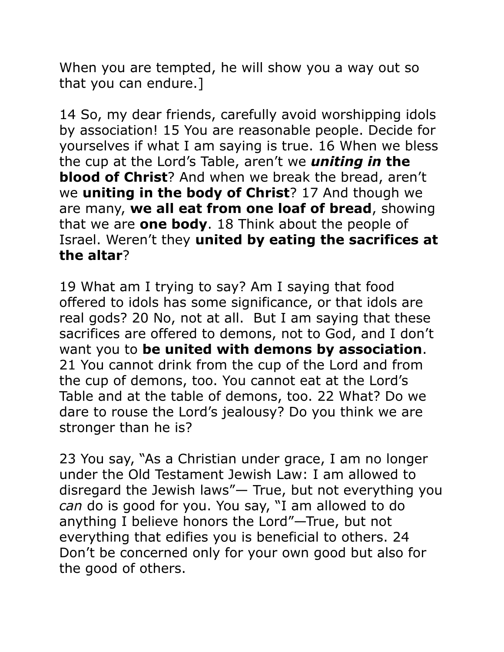When you are tempted, he will show you a way out so that you can endure.]

14 So, my dear friends, carefully avoid worshipping idols by association! 15 You are reasonable people. Decide for yourselves if what I am saying is true. 16 When we bless the cup at the Lord's Table, aren't we *uniting in* **the blood of Christ**? And when we break the bread, aren't we **uniting in the body of Christ**? 17 And though we are many, **we all eat from one loaf of bread**, showing that we are **one body**. 18 Think about the people of Israel. Weren't they **united by eating the sacrifices at the altar**?

19 What am I trying to say? Am I saying that food offered to idols has some significance, or that idols are real gods? 20 No, not at all. But I am saying that these sacrifices are offered to demons, not to God, and I don't want you to **be united with demons by association**. 21 You cannot drink from the cup of the Lord and from the cup of demons, too. You cannot eat at the Lord's Table and at the table of demons, too. 22 What? Do we dare to rouse the Lord's jealousy? Do you think we are stronger than he is?

23 You say, "As a Christian under grace, I am no longer under the Old Testament Jewish Law: I am allowed to disregard the Jewish laws"— True, but not everything you *can* do is good for you. You say, "I am allowed to do anything I believe honors the Lord"—True, but not everything that edifies you is beneficial to others. 24 Don't be concerned only for your own good but also for the good of others.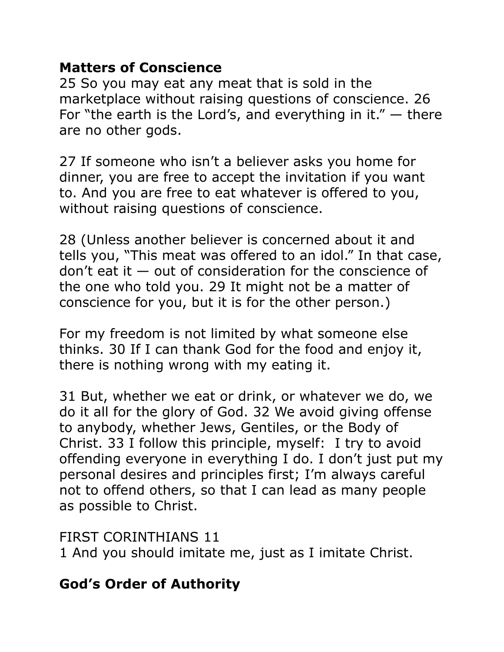### **Matters of Conscience**

25 So you may eat any meat that is sold in the marketplace without raising questions of conscience. 26 For "the earth is the Lord's, and everything in it."  $-$  there are no other gods.

27 If someone who isn't a believer asks you home for dinner, you are free to accept the invitation if you want to. And you are free to eat whatever is offered to you, without raising questions of conscience.

28 (Unless another believer is concerned about it and tells you, "This meat was offered to an idol." In that case, don't eat it  $-$  out of consideration for the conscience of the one who told you. 29 It might not be a matter of conscience for you, but it is for the other person.)

For my freedom is not limited by what someone else thinks. 30 If I can thank God for the food and enjoy it, there is nothing wrong with my eating it.

31 But, whether we eat or drink, or whatever we do, we do it all for the glory of God. 32 We avoid giving offense to anybody, whether Jews, Gentiles, or the Body of Christ. 33 I follow this principle, myself: I try to avoid offending everyone in everything I do. I don't just put my personal desires and principles first; I'm always careful not to offend others, so that I can lead as many people as possible to Christ.

FIRST CORINTHIANS 11

1 And you should imitate me, just as I imitate Christ.

# **God's Order of Authority**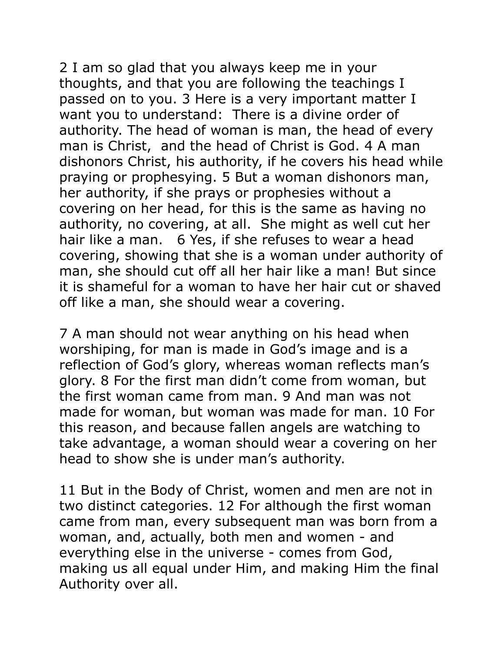2 I am so glad that you always keep me in your thoughts, and that you are following the teachings I passed on to you. 3 Here is a very important matter I want you to understand: There is a divine order of authority. The head of woman is man, the head of every man is Christ, and the head of Christ is God. 4 A man dishonors Christ, his authority, if he covers his head while praying or prophesying. 5 But a woman dishonors man, her authority, if she prays or prophesies without a covering on her head, for this is the same as having no authority, no covering, at all. She might as well cut her hair like a man. 6 Yes, if she refuses to wear a head covering, showing that she is a woman under authority of man, she should cut off all her hair like a man! But since it is shameful for a woman to have her hair cut or shaved off like a man, she should wear a covering.

7 A man should not wear anything on his head when worshiping, for man is made in God's image and is a reflection of God's glory, whereas woman reflects man's glory. 8 For the first man didn't come from woman, but the first woman came from man. 9 And man was not made for woman, but woman was made for man. 10 For this reason, and because fallen angels are watching to take advantage, a woman should wear a covering on her head to show she is under man's authority.

11 But in the Body of Christ, women and men are not in two distinct categories. 12 For although the first woman came from man, every subsequent man was born from a woman, and, actually, both men and women - and everything else in the universe - comes from God, making us all equal under Him, and making Him the final Authority over all.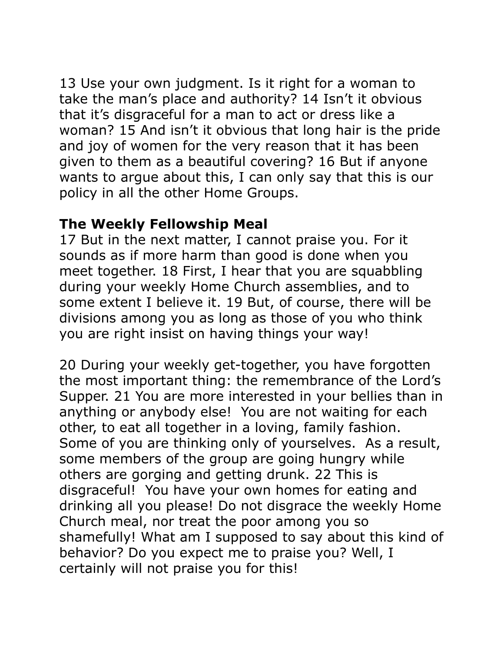13 Use your own judgment. Is it right for a woman to take the man's place and authority? 14 Isn't it obvious that it's disgraceful for a man to act or dress like a woman? 15 And isn't it obvious that long hair is the pride and joy of women for the very reason that it has been given to them as a beautiful covering? 16 But if anyone wants to argue about this, I can only say that this is our policy in all the other Home Groups.

#### **The Weekly Fellowship Meal**

17 But in the next matter, I cannot praise you. For it sounds as if more harm than good is done when you meet together. 18 First, I hear that you are squabbling during your weekly Home Church assemblies, and to some extent I believe it. 19 But, of course, there will be divisions among you as long as those of you who think you are right insist on having things your way!

20 During your weekly get-together, you have forgotten the most important thing: the remembrance of the Lord's Supper. 21 You are more interested in your bellies than in anything or anybody else! You are not waiting for each other, to eat all together in a loving, family fashion. Some of you are thinking only of yourselves. As a result, some members of the group are going hungry while others are gorging and getting drunk. 22 This is disgraceful! You have your own homes for eating and drinking all you please! Do not disgrace the weekly Home Church meal, nor treat the poor among you so shamefully! What am I supposed to say about this kind of behavior? Do you expect me to praise you? Well, I certainly will not praise you for this!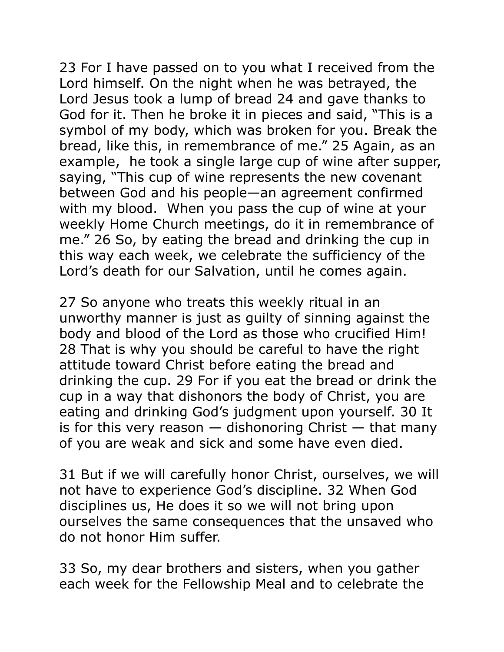23 For I have passed on to you what I received from the Lord himself. On the night when he was betrayed, the Lord Jesus took a lump of bread 24 and gave thanks to God for it. Then he broke it in pieces and said, "This is a symbol of my body, which was broken for you. Break the bread, like this, in remembrance of me." 25 Again, as an example, he took a single large cup of wine after supper, saying, "This cup of wine represents the new covenant between God and his people—an agreement confirmed with my blood. When you pass the cup of wine at your weekly Home Church meetings, do it in remembrance of me." 26 So, by eating the bread and drinking the cup in this way each week, we celebrate the sufficiency of the Lord's death for our Salvation, until he comes again.

27 So anyone who treats this weekly ritual in an unworthy manner is just as guilty of sinning against the body and blood of the Lord as those who crucified Him! 28 That is why you should be careful to have the right attitude toward Christ before eating the bread and drinking the cup. 29 For if you eat the bread or drink the cup in a way that dishonors the body of Christ, you are eating and drinking God's judgment upon yourself. 30 It is for this very reason  $-$  dishonoring Christ  $-$  that many of you are weak and sick and some have even died.

31 But if we will carefully honor Christ, ourselves, we will not have to experience God's discipline. 32 When God disciplines us, He does it so we will not bring upon ourselves the same consequences that the unsaved who do not honor Him suffer.

33 So, my dear brothers and sisters, when you gather each week for the Fellowship Meal and to celebrate the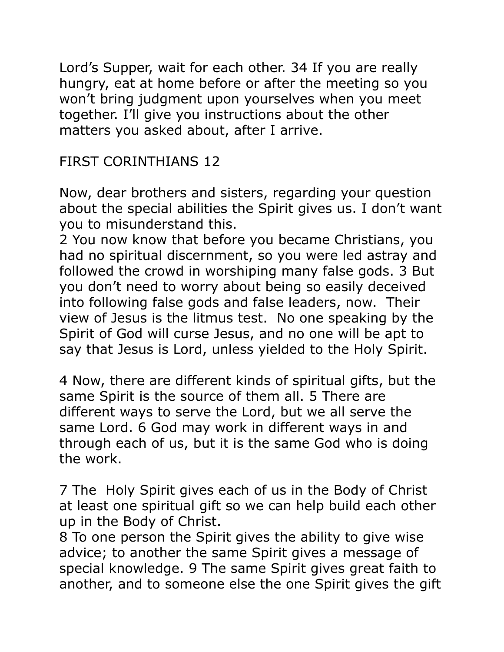Lord's Supper, wait for each other. 34 If you are really hungry, eat at home before or after the meeting so you won't bring judgment upon yourselves when you meet together. I'll give you instructions about the other matters you asked about, after I arrive.

FIRST CORINTHIANS 12

Now, dear brothers and sisters, regarding your question about the special abilities the Spirit gives us. I don't want you to misunderstand this.

2 You now know that before you became Christians, you had no spiritual discernment, so you were led astray and followed the crowd in worshiping many false gods. 3 But you don't need to worry about being so easily deceived into following false gods and false leaders, now. Their view of Jesus is the litmus test. No one speaking by the Spirit of God will curse Jesus, and no one will be apt to say that Jesus is Lord, unless yielded to the Holy Spirit.

4 Now, there are different kinds of spiritual gifts, but the same Spirit is the source of them all. 5 There are different ways to serve the Lord, but we all serve the same Lord. 6 God may work in different ways in and through each of us, but it is the same God who is doing the work.

7 The Holy Spirit gives each of us in the Body of Christ at least one spiritual gift so we can help build each other up in the Body of Christ.

8 To one person the Spirit gives the ability to give wise advice; to another the same Spirit gives a message of special knowledge. 9 The same Spirit gives great faith to another, and to someone else the one Spirit gives the gift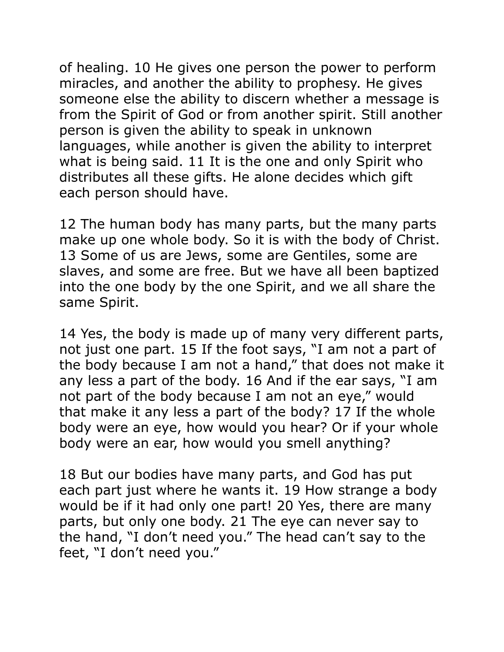of healing. 10 He gives one person the power to perform miracles, and another the ability to prophesy. He gives someone else the ability to discern whether a message is from the Spirit of God or from another spirit. Still another person is given the ability to speak in unknown languages, while another is given the ability to interpret what is being said. 11 It is the one and only Spirit who distributes all these gifts. He alone decides which gift each person should have.

12 The human body has many parts, but the many parts make up one whole body. So it is with the body of Christ. 13 Some of us are Jews, some are Gentiles, some are slaves, and some are free. But we have all been baptized into the one body by the one Spirit, and we all share the same Spirit.

14 Yes, the body is made up of many very different parts, not just one part. 15 If the foot says, "I am not a part of the body because I am not a hand," that does not make it any less a part of the body. 16 And if the ear says, "I am not part of the body because I am not an eye," would that make it any less a part of the body? 17 If the whole body were an eye, how would you hear? Or if your whole body were an ear, how would you smell anything?

18 But our bodies have many parts, and God has put each part just where he wants it. 19 How strange a body would be if it had only one part! 20 Yes, there are many parts, but only one body. 21 The eye can never say to the hand, "I don't need you." The head can't say to the feet, "I don't need you."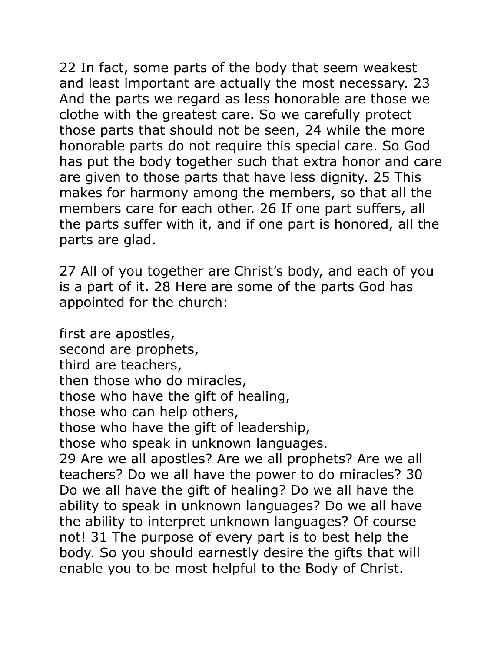22 In fact, some parts of the body that seem weakest and least important are actually the most necessary. 23 And the parts we regard as less honorable are those we clothe with the greatest care. So we carefully protect those parts that should not be seen, 24 while the more honorable parts do not require this special care. So God has put the body together such that extra honor and care are given to those parts that have less dignity. 25 This makes for harmony among the members, so that all the members care for each other. 26 If one part suffers, all the parts suffer with it, and if one part is honored, all the parts are glad.

27 All of you together are Christ's body, and each of you is a part of it. 28 Here are some of the parts God has appointed for the church:

first are apostles, second are prophets, third are teachers, then those who do miracles, those who have the gift of healing, those who can help others, those who have the gift of leadership, those who speak in unknown languages. 29 Are we all apostles? Are we all prophets? Are we all teachers? Do we all have the power to do miracles? 30 Do we all have the gift of healing? Do we all have the ability to speak in unknown languages? Do we all have the ability to interpret unknown languages? Of course not! 31 The purpose of every part is to best help the body. So you should earnestly desire the gifts that will enable you to be most helpful to the Body of Christ.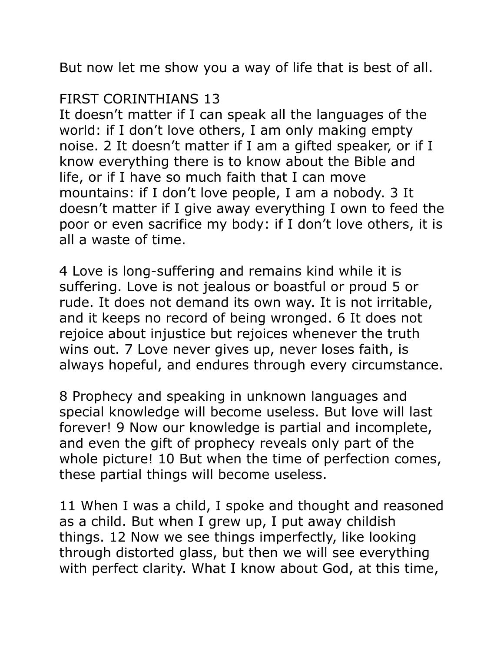But now let me show you a way of life that is best of all.

#### FIRST CORINTHIANS 13

It doesn't matter if I can speak all the languages of the world: if I don't love others, I am only making empty noise. 2 It doesn't matter if I am a gifted speaker, or if I know everything there is to know about the Bible and life, or if I have so much faith that I can move mountains: if I don't love people, I am a nobody. 3 It doesn't matter if I give away everything I own to feed the poor or even sacrifice my body: if I don't love others, it is all a waste of time.

4 Love is long-suffering and remains kind while it is suffering. Love is not jealous or boastful or proud 5 or rude. It does not demand its own way. It is not irritable, and it keeps no record of being wronged. 6 It does not rejoice about injustice but rejoices whenever the truth wins out. 7 Love never gives up, never loses faith, is always hopeful, and endures through every circumstance.

8 Prophecy and speaking in unknown languages and special knowledge will become useless. But love will last forever! 9 Now our knowledge is partial and incomplete, and even the gift of prophecy reveals only part of the whole picture! 10 But when the time of perfection comes, these partial things will become useless.

11 When I was a child, I spoke and thought and reasoned as a child. But when I grew up, I put away childish things. 12 Now we see things imperfectly, like looking through distorted glass, but then we will see everything with perfect clarity. What I know about God, at this time,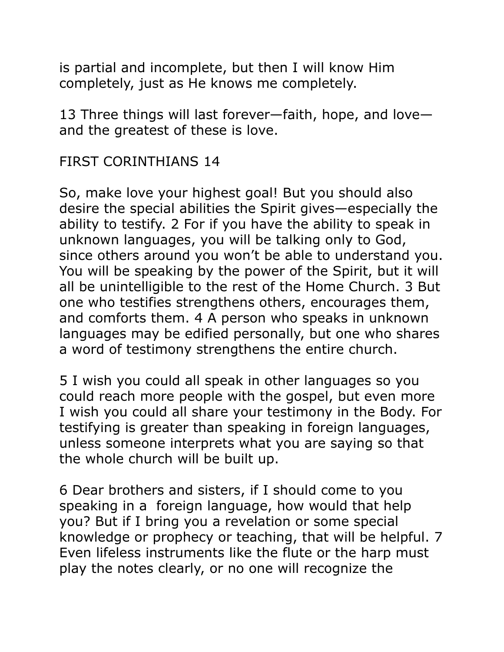is partial and incomplete, but then I will know Him completely, just as He knows me completely.

13 Three things will last forever—faith, hope, and love and the greatest of these is love.

FIRST CORINTHIANS 14

So, make love your highest goal! But you should also desire the special abilities the Spirit gives—especially the ability to testify. 2 For if you have the ability to speak in unknown languages, you will be talking only to God, since others around you won't be able to understand you. You will be speaking by the power of the Spirit, but it will all be unintelligible to the rest of the Home Church. 3 But one who testifies strengthens others, encourages them, and comforts them. 4 A person who speaks in unknown languages may be edified personally, but one who shares a word of testimony strengthens the entire church.

5 I wish you could all speak in other languages so you could reach more people with the gospel, but even more I wish you could all share your testimony in the Body. For testifying is greater than speaking in foreign languages, unless someone interprets what you are saying so that the whole church will be built up.

6 Dear brothers and sisters, if I should come to you speaking in a foreign language, how would that help you? But if I bring you a revelation or some special knowledge or prophecy or teaching, that will be helpful. 7 Even lifeless instruments like the flute or the harp must play the notes clearly, or no one will recognize the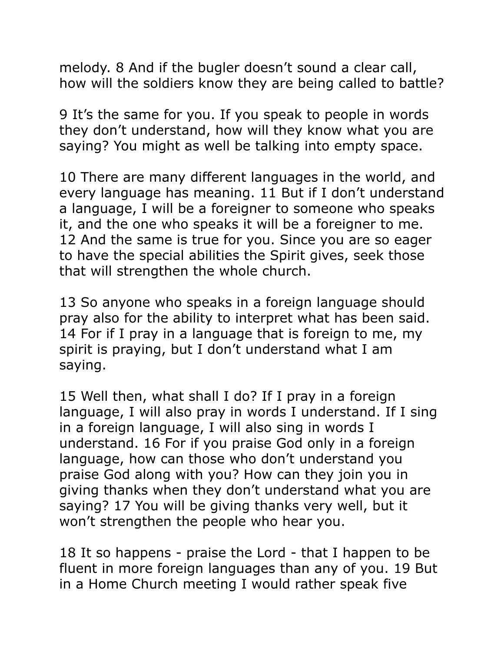melody. 8 And if the bugler doesn't sound a clear call, how will the soldiers know they are being called to battle?

9 It's the same for you. If you speak to people in words they don't understand, how will they know what you are saying? You might as well be talking into empty space.

10 There are many different languages in the world, and every language has meaning. 11 But if I don't understand a language, I will be a foreigner to someone who speaks it, and the one who speaks it will be a foreigner to me. 12 And the same is true for you. Since you are so eager to have the special abilities the Spirit gives, seek those that will strengthen the whole church.

13 So anyone who speaks in a foreign language should pray also for the ability to interpret what has been said. 14 For if I pray in a language that is foreign to me, my spirit is praying, but I don't understand what I am saying.

15 Well then, what shall I do? If I pray in a foreign language, I will also pray in words I understand. If I sing in a foreign language, I will also sing in words I understand. 16 For if you praise God only in a foreign language, how can those who don't understand you praise God along with you? How can they join you in giving thanks when they don't understand what you are saying? 17 You will be giving thanks very well, but it won't strengthen the people who hear you.

18 It so happens - praise the Lord - that I happen to be fluent in more foreign languages than any of you. 19 But in a Home Church meeting I would rather speak five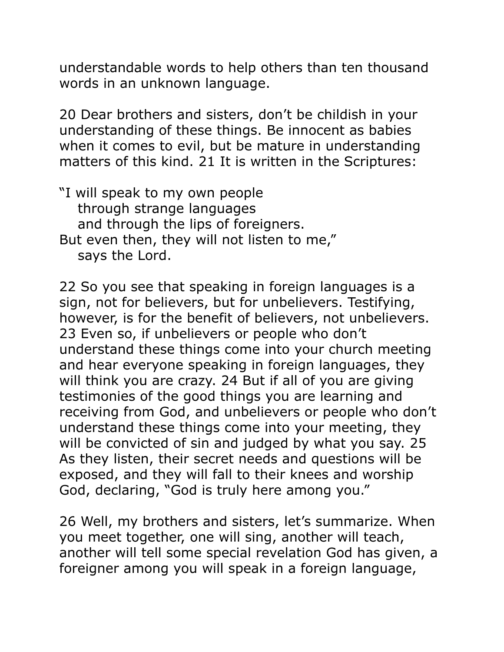understandable words to help others than ten thousand words in an unknown language.

20 Dear brothers and sisters, don't be childish in your understanding of these things. Be innocent as babies when it comes to evil, but be mature in understanding matters of this kind. 21 It is written in the Scriptures:

"I will speak to my own people through strange languages and through the lips of foreigners. But even then, they will not listen to me," says the Lord.

22 So you see that speaking in foreign languages is a sign, not for believers, but for unbelievers. Testifying, however, is for the benefit of believers, not unbelievers. 23 Even so, if unbelievers or people who don't understand these things come into your church meeting and hear everyone speaking in foreign languages, they will think you are crazy. 24 But if all of you are giving testimonies of the good things you are learning and receiving from God, and unbelievers or people who don't understand these things come into your meeting, they will be convicted of sin and judged by what you say. 25 As they listen, their secret needs and questions will be exposed, and they will fall to their knees and worship God, declaring, "God is truly here among you."

26 Well, my brothers and sisters, let's summarize. When you meet together, one will sing, another will teach, another will tell some special revelation God has given, a foreigner among you will speak in a foreign language,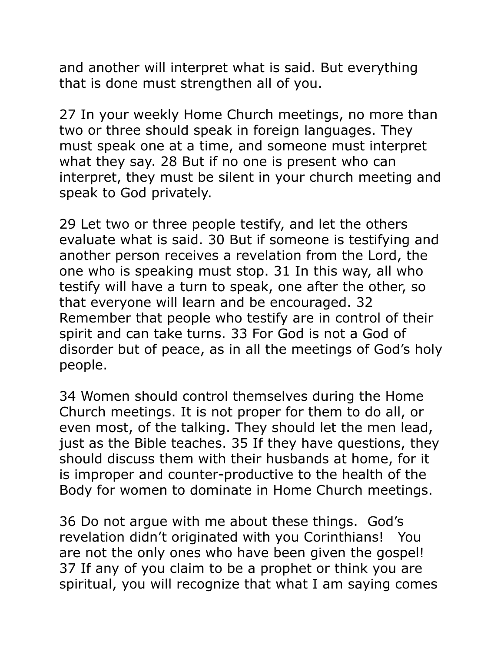and another will interpret what is said. But everything that is done must strengthen all of you.

27 In your weekly Home Church meetings, no more than two or three should speak in foreign languages. They must speak one at a time, and someone must interpret what they say. 28 But if no one is present who can interpret, they must be silent in your church meeting and speak to God privately.

29 Let two or three people testify, and let the others evaluate what is said. 30 But if someone is testifying and another person receives a revelation from the Lord, the one who is speaking must stop. 31 In this way, all who testify will have a turn to speak, one after the other, so that everyone will learn and be encouraged. 32 Remember that people who testify are in control of their spirit and can take turns. 33 For God is not a God of disorder but of peace, as in all the meetings of God's holy people.

34 Women should control themselves during the Home Church meetings. It is not proper for them to do all, or even most, of the talking. They should let the men lead, just as the Bible teaches. 35 If they have questions, they should discuss them with their husbands at home, for it is improper and counter-productive to the health of the Body for women to dominate in Home Church meetings.

36 Do not argue with me about these things. God's revelation didn't originated with you Corinthians! You are not the only ones who have been given the gospel! 37 If any of you claim to be a prophet or think you are spiritual, you will recognize that what I am saying comes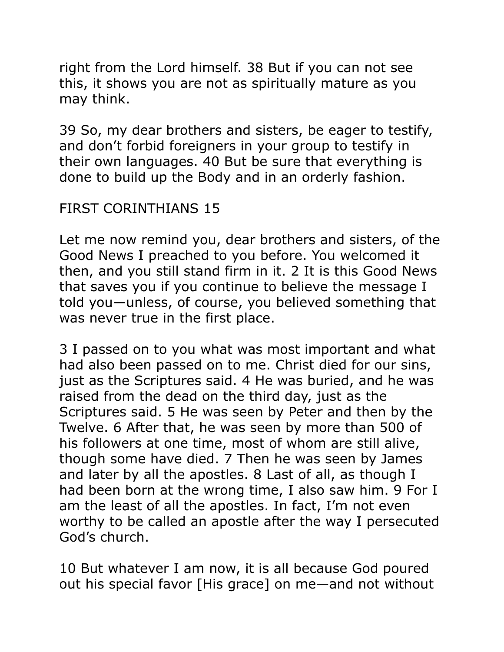right from the Lord himself. 38 But if you can not see this, it shows you are not as spiritually mature as you may think.

39 So, my dear brothers and sisters, be eager to testify, and don't forbid foreigners in your group to testify in their own languages. 40 But be sure that everything is done to build up the Body and in an orderly fashion.

### FIRST CORINTHIANS 15

Let me now remind you, dear brothers and sisters, of the Good News I preached to you before. You welcomed it then, and you still stand firm in it. 2 It is this Good News that saves you if you continue to believe the message I told you—unless, of course, you believed something that was never true in the first place.

3 I passed on to you what was most important and what had also been passed on to me. Christ died for our sins, just as the Scriptures said. 4 He was buried, and he was raised from the dead on the third day, just as the Scriptures said. 5 He was seen by Peter and then by the Twelve. 6 After that, he was seen by more than 500 of his followers at one time, most of whom are still alive, though some have died. 7 Then he was seen by James and later by all the apostles. 8 Last of all, as though I had been born at the wrong time, I also saw him. 9 For I am the least of all the apostles. In fact, I'm not even worthy to be called an apostle after the way I persecuted God's church.

10 But whatever I am now, it is all because God poured out his special favor [His grace] on me—and not without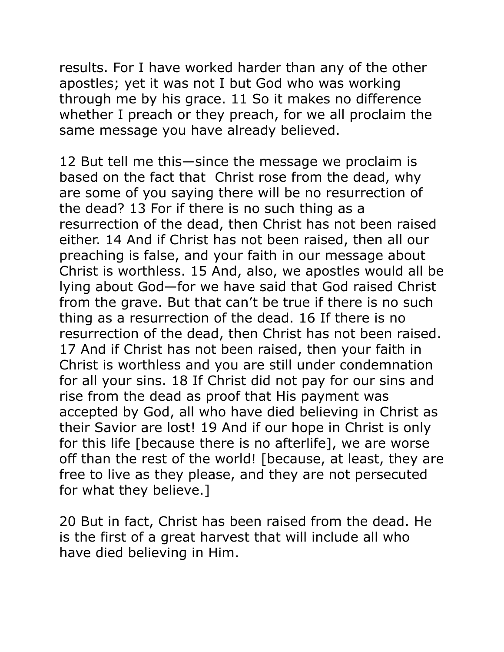results. For I have worked harder than any of the other apostles; yet it was not I but God who was working through me by his grace. 11 So it makes no difference whether I preach or they preach, for we all proclaim the same message you have already believed.

12 But tell me this—since the message we proclaim is based on the fact that Christ rose from the dead, why are some of you saying there will be no resurrection of the dead? 13 For if there is no such thing as a resurrection of the dead, then Christ has not been raised either. 14 And if Christ has not been raised, then all our preaching is false, and your faith in our message about Christ is worthless. 15 And, also, we apostles would all be lying about God—for we have said that God raised Christ from the grave. But that can't be true if there is no such thing as a resurrection of the dead. 16 If there is no resurrection of the dead, then Christ has not been raised. 17 And if Christ has not been raised, then your faith in Christ is worthless and you are still under condemnation for all your sins. 18 If Christ did not pay for our sins and rise from the dead as proof that His payment was accepted by God, all who have died believing in Christ as their Savior are lost! 19 And if our hope in Christ is only for this life [because there is no afterlife], we are worse off than the rest of the world! [because, at least, they are free to live as they please, and they are not persecuted for what they believe.]

20 But in fact, Christ has been raised from the dead. He is the first of a great harvest that will include all who have died believing in Him.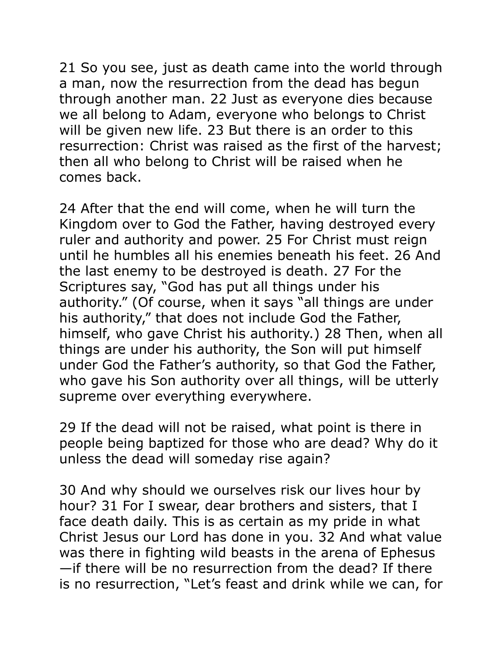21 So you see, just as death came into the world through a man, now the resurrection from the dead has begun through another man. 22 Just as everyone dies because we all belong to Adam, everyone who belongs to Christ will be given new life. 23 But there is an order to this resurrection: Christ was raised as the first of the harvest; then all who belong to Christ will be raised when he comes back.

24 After that the end will come, when he will turn the Kingdom over to God the Father, having destroyed every ruler and authority and power. 25 For Christ must reign until he humbles all his enemies beneath his feet. 26 And the last enemy to be destroyed is death. 27 For the Scriptures say, "God has put all things under his authority." (Of course, when it says "all things are under his authority," that does not include God the Father, himself, who gave Christ his authority.) 28 Then, when all things are under his authority, the Son will put himself under God the Father's authority, so that God the Father, who gave his Son authority over all things, will be utterly supreme over everything everywhere.

29 If the dead will not be raised, what point is there in people being baptized for those who are dead? Why do it unless the dead will someday rise again?

30 And why should we ourselves risk our lives hour by hour? 31 For I swear, dear brothers and sisters, that I face death daily. This is as certain as my pride in what Christ Jesus our Lord has done in you. 32 And what value was there in fighting wild beasts in the arena of Ephesus —if there will be no resurrection from the dead? If there is no resurrection, "Let's feast and drink while we can, for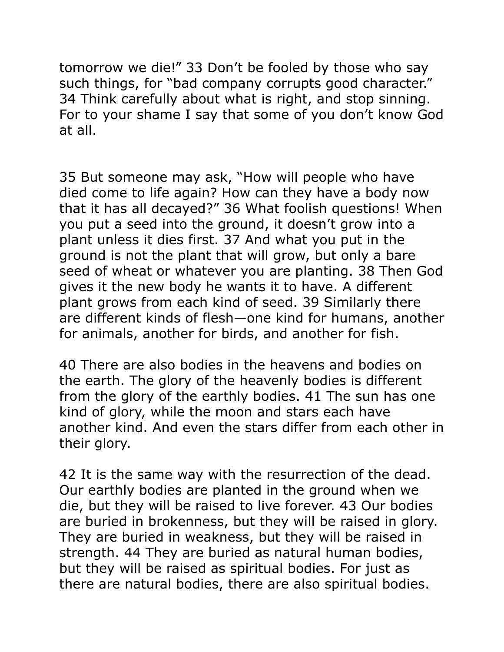tomorrow we die!" 33 Don't be fooled by those who say such things, for "bad company corrupts good character." 34 Think carefully about what is right, and stop sinning. For to your shame I say that some of you don't know God at all.

35 But someone may ask, "How will people who have died come to life again? How can they have a body now that it has all decayed?" 36 What foolish questions! When you put a seed into the ground, it doesn't grow into a plant unless it dies first. 37 And what you put in the ground is not the plant that will grow, but only a bare seed of wheat or whatever you are planting. 38 Then God gives it the new body he wants it to have. A different plant grows from each kind of seed. 39 Similarly there are different kinds of flesh—one kind for humans, another for animals, another for birds, and another for fish.

40 There are also bodies in the heavens and bodies on the earth. The glory of the heavenly bodies is different from the glory of the earthly bodies. 41 The sun has one kind of glory, while the moon and stars each have another kind. And even the stars differ from each other in their glory.

42 It is the same way with the resurrection of the dead. Our earthly bodies are planted in the ground when we die, but they will be raised to live forever. 43 Our bodies are buried in brokenness, but they will be raised in glory. They are buried in weakness, but they will be raised in strength. 44 They are buried as natural human bodies, but they will be raised as spiritual bodies. For just as there are natural bodies, there are also spiritual bodies.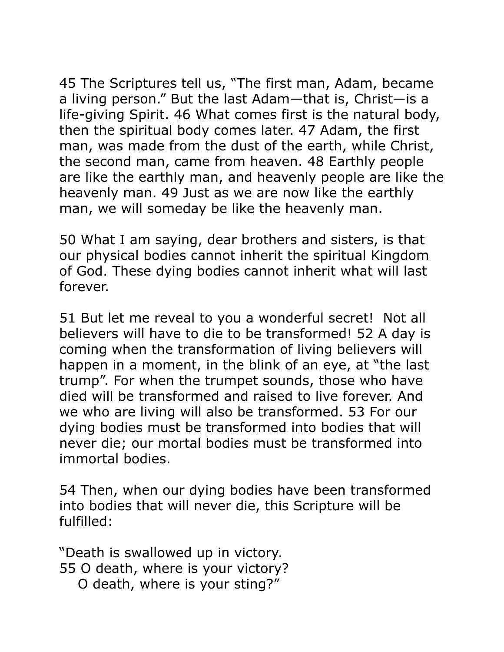45 The Scriptures tell us, "The first man, Adam, became a living person." But the last Adam—that is, Christ—is a life-giving Spirit. 46 What comes first is the natural body, then the spiritual body comes later. 47 Adam, the first man, was made from the dust of the earth, while Christ, the second man, came from heaven. 48 Earthly people are like the earthly man, and heavenly people are like the heavenly man. 49 Just as we are now like the earthly man, we will someday be like the heavenly man.

50 What I am saying, dear brothers and sisters, is that our physical bodies cannot inherit the spiritual Kingdom of God. These dying bodies cannot inherit what will last forever.

51 But let me reveal to you a wonderful secret! Not all believers will have to die to be transformed! 52 A day is coming when the transformation of living believers will happen in a moment, in the blink of an eye, at "the last trump". For when the trumpet sounds, those who have died will be transformed and raised to live forever. And we who are living will also be transformed. 53 For our dying bodies must be transformed into bodies that will never die; our mortal bodies must be transformed into immortal bodies.

54 Then, when our dying bodies have been transformed into bodies that will never die, this Scripture will be fulfilled:

"Death is swallowed up in victory. 55 O death, where is your victory? O death, where is your sting?"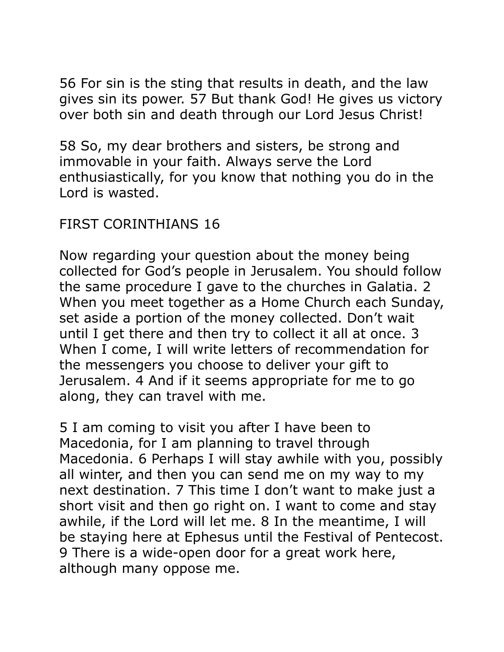56 For sin is the sting that results in death, and the law gives sin its power. 57 But thank God! He gives us victory over both sin and death through our Lord Jesus Christ!

58 So, my dear brothers and sisters, be strong and immovable in your faith. Always serve the Lord enthusiastically, for you know that nothing you do in the Lord is wasted.

## FIRST CORINTHIANS 16

Now regarding your question about the money being collected for God's people in Jerusalem. You should follow the same procedure I gave to the churches in Galatia. 2 When you meet together as a Home Church each Sunday, set aside a portion of the money collected. Don't wait until I get there and then try to collect it all at once. 3 When I come, I will write letters of recommendation for the messengers you choose to deliver your gift to Jerusalem. 4 And if it seems appropriate for me to go along, they can travel with me.

5 I am coming to visit you after I have been to Macedonia, for I am planning to travel through Macedonia. 6 Perhaps I will stay awhile with you, possibly all winter, and then you can send me on my way to my next destination. 7 This time I don't want to make just a short visit and then go right on. I want to come and stay awhile, if the Lord will let me. 8 In the meantime, I will be staying here at Ephesus until the Festival of Pentecost. 9 There is a wide-open door for a great work here, although many oppose me.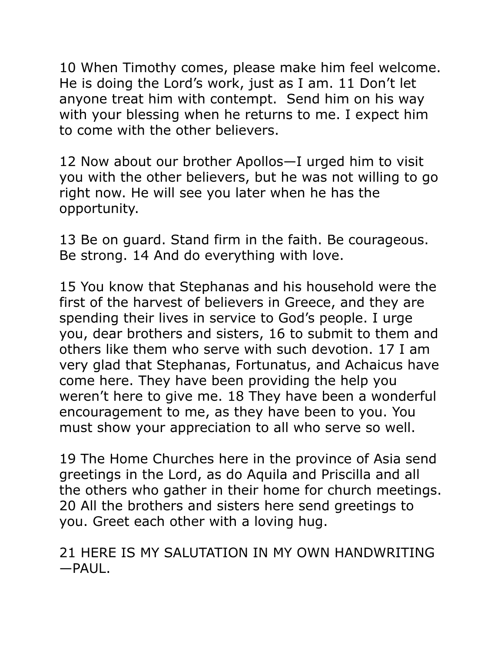10 When Timothy comes, please make him feel welcome. He is doing the Lord's work, just as I am. 11 Don't let anyone treat him with contempt. Send him on his way with your blessing when he returns to me. I expect him to come with the other believers.

12 Now about our brother Apollos—I urged him to visit you with the other believers, but he was not willing to go right now. He will see you later when he has the opportunity.

13 Be on guard. Stand firm in the faith. Be courageous. Be strong. 14 And do everything with love.

15 You know that Stephanas and his household were the first of the harvest of believers in Greece, and they are spending their lives in service to God's people. I urge you, dear brothers and sisters, 16 to submit to them and others like them who serve with such devotion. 17 I am very glad that Stephanas, Fortunatus, and Achaicus have come here. They have been providing the help you weren't here to give me. 18 They have been a wonderful encouragement to me, as they have been to you. You must show your appreciation to all who serve so well.

19 The Home Churches here in the province of Asia send greetings in the Lord, as do Aquila and Priscilla and all the others who gather in their home for church meetings. 20 All the brothers and sisters here send greetings to you. Greet each other with a loving hug.

21 HERE IS MY SALUTATION IN MY OWN HANDWRITING  $-PAUI$ .